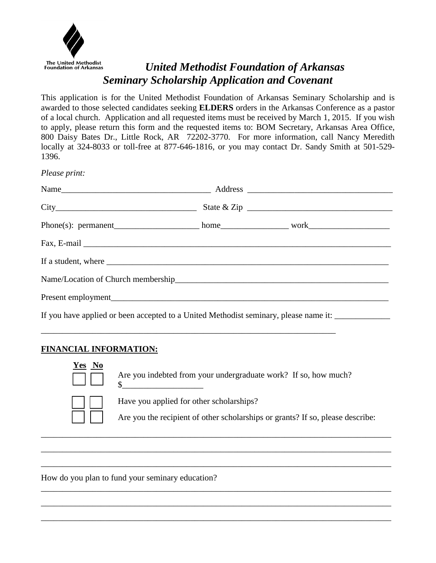

# *United Methodist Foundation of Arkansas Seminary Scholarship Application and Covenant*

This application is for the United Methodist Foundation of Arkansas Seminary Scholarship and is awarded to those selected candidates seeking **ELDERS** orders in the Arkansas Conference as a pastor of a local church. Application and all requested items must be received by March 1, 2015. If you wish to apply, please return this form and the requested items to: BOM Secretary, Arkansas Area Office, 800 Daisy Bates Dr., Little Rock, AR 72202-3770. For more information, call Nancy Meredith locally at 324-8033 or toll-free at 877-646-1816, or you may contact Dr. Sandy Smith at 501-529- 1396.

*Please print:* 

| If a student, where <u>example a student</u> where $\frac{1}{2}$                                    |  |  |
|-----------------------------------------------------------------------------------------------------|--|--|
|                                                                                                     |  |  |
|                                                                                                     |  |  |
| If you have applied or been accepted to a United Methodist seminary, please name it: ______________ |  |  |

## **FINANCIAL INFORMATION:**



Are you indebted from your undergraduate work? If so, how much?

\_\_\_\_\_\_\_\_\_\_\_\_\_\_\_\_\_\_\_\_\_\_\_\_\_\_\_\_\_\_\_\_\_\_\_\_\_\_\_\_\_\_\_\_\_\_\_\_\_\_\_\_\_\_\_\_\_\_\_\_\_\_\_\_\_\_\_\_\_\_\_\_\_\_\_\_\_\_\_\_\_\_

\_\_\_\_\_\_\_\_\_\_\_\_\_\_\_\_\_\_\_\_\_\_\_\_\_\_\_\_\_\_\_\_\_\_\_\_\_\_\_\_\_\_\_\_\_\_\_\_\_\_\_\_\_\_\_\_\_\_\_\_\_\_\_\_\_\_\_\_\_\_\_\_\_\_\_\_\_\_\_\_\_\_

\_\_\_\_\_\_\_\_\_\_\_\_\_\_\_\_\_\_\_\_\_\_\_\_\_\_\_\_\_\_\_\_\_\_\_\_\_\_\_\_\_\_\_\_\_\_\_\_\_\_\_\_\_\_\_\_\_\_\_\_\_\_\_\_\_\_\_\_\_\_\_\_\_\_\_\_\_\_\_\_\_\_

\_\_\_\_\_\_\_\_\_\_\_\_\_\_\_\_\_\_\_\_\_\_\_\_\_\_\_\_\_\_\_\_\_\_\_\_\_\_\_\_\_\_\_\_\_\_\_\_\_\_\_\_\_\_\_\_\_\_\_\_\_\_\_\_\_\_\_\_\_\_\_\_\_\_\_\_\_\_\_\_\_\_

\_\_\_\_\_\_\_\_\_\_\_\_\_\_\_\_\_\_\_\_\_\_\_\_\_\_\_\_\_\_\_\_\_\_\_\_\_\_\_\_\_\_\_\_\_\_\_\_\_\_\_\_\_\_\_\_\_\_\_\_\_\_\_\_\_\_\_\_\_\_\_\_\_\_\_\_\_\_\_\_\_\_

\_\_\_\_\_\_\_\_\_\_\_\_\_\_\_\_\_\_\_\_\_\_\_\_\_\_\_\_\_\_\_\_\_\_\_\_\_\_\_\_\_\_\_\_\_\_\_\_\_\_\_\_\_\_\_\_\_\_\_\_\_\_\_\_\_\_\_\_\_\_\_\_\_\_\_\_\_\_\_\_\_\_



Have you applied for other scholarships?

 $\mathbb{S}$ 

\_\_\_\_\_\_\_\_\_\_\_\_\_\_\_\_\_\_\_\_\_\_\_\_\_\_\_\_\_\_\_\_\_\_\_\_\_\_\_\_\_\_\_\_\_\_\_\_\_\_\_\_\_\_\_\_\_\_\_\_\_\_\_\_\_\_\_\_\_

Are you the recipient of other scholarships or grants? If so, please describe:

How do you plan to fund your seminary education?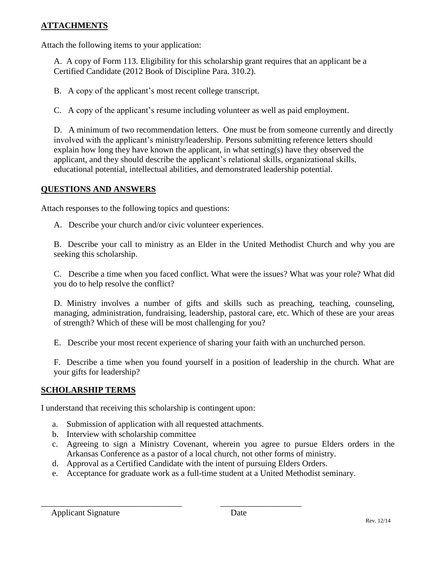### **ATTACHMENTS**

Attach the following items to your application:

A. A copy of Form 113. Eligibility for this scholarship grant requires that an applicant be a Certified Candidate (2012 Book of Discipline Para. 310.2).

B. A copy of the applicant's most recent college transcript.

C. A copy of the applicant's resume including volunteer as well as paid employment.

D. A minimum of two recommendation letters. One must be from someone currently and directly involved with the applicant's ministry/leadership. Persons submitting reference letters should explain how long they have known the applicant, in what setting(s) have they observed the applicant, and they should describe the applicant's relational skills, organizational skills, educational potential, intellectual abilities, and demonstrated leadership potential.

#### **QUESTIONS AND ANSWERS**

Attach responses to the following topics and questions:

A. Describe your church and/or civic volunteer experiences.

B. Describe your call to ministry as an Elder in the United Methodist Church and why you are seeking this scholarship.

C. Describe a time when you faced conflict. What were the issues? What was your role? What did you do to help resolve the conflict?

D. Ministry involves a number of gifts and skills such as preaching, teaching, counseling, managing, administration, fundraising, leadership, pastoral care, etc. Which of these are your areas of strength? Which of these will be most challenging for you?

E. Describe your most recent experience of sharing your faith with an unchurched person.

F. Describe a time when you found yourself in a position of leadership in the church. What are your gifts for leadership?

#### **SCHOLARSHIP TERMS**

I understand that receiving this scholarship is contingent upon:

- a. Submission of application with all requested attachments.
- b. Interview with scholarship committee
- c. Agreeing to sign a Ministry Covenant, wherein you agree to pursue Elders orders in the Arkansas Conference as a pastor of a local church, not other forms of ministry.
- d. Approval as a Certified Candidate with the intent of pursuing Elders Orders.

\_\_\_\_\_\_\_\_\_\_\_\_\_\_\_\_\_\_\_\_\_\_\_\_\_\_\_\_\_\_\_\_\_ \_\_\_\_\_\_\_\_\_\_\_\_\_\_\_\_\_\_\_

e. Acceptance for graduate work as a full-time student at a United Methodist seminary.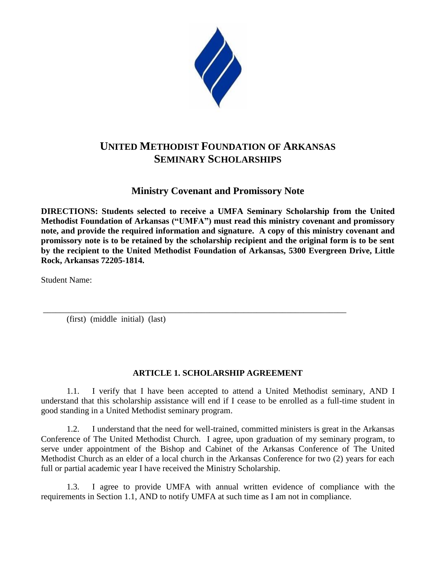

# **UNITED METHODIST FOUNDATION OF ARKANSAS SEMINARY SCHOLARSHIPS**

**Ministry Covenant and Promissory Note**

**DIRECTIONS: Students selected to receive a UMFA Seminary Scholarship from the United Methodist Foundation of Arkansas ("UMFA") must read this ministry covenant and promissory note, and provide the required information and signature. A copy of this ministry covenant and promissory note is to be retained by the scholarship recipient and the original form is to be sent by the recipient to the United Methodist Foundation of Arkansas, 5300 Evergreen Drive, Little Rock, Arkansas 72205-1814.**

Student Name:

(first) (middle initial) (last)

## **ARTICLE 1. SCHOLARSHIP AGREEMENT**

\_\_\_\_\_\_\_\_\_\_\_\_\_\_\_\_\_\_\_\_\_\_\_\_\_\_\_\_\_\_\_\_\_\_\_\_\_\_\_\_\_\_\_\_\_\_\_\_\_\_\_\_\_\_\_\_\_\_\_\_\_\_\_\_\_\_\_\_\_\_\_

1.1. I verify that I have been accepted to attend a United Methodist seminary, AND I understand that this scholarship assistance will end if I cease to be enrolled as a full-time student in good standing in a United Methodist seminary program.

1.2. I understand that the need for well-trained, committed ministers is great in the Arkansas Conference of The United Methodist Church. I agree, upon graduation of my seminary program, to serve under appointment of the Bishop and Cabinet of the Arkansas Conference of The United Methodist Church as an elder of a local church in the Arkansas Conference for two (2) years for each full or partial academic year I have received the Ministry Scholarship.

1.3. I agree to provide UMFA with annual written evidence of compliance with the requirements in Section 1.1, AND to notify UMFA at such time as I am not in compliance.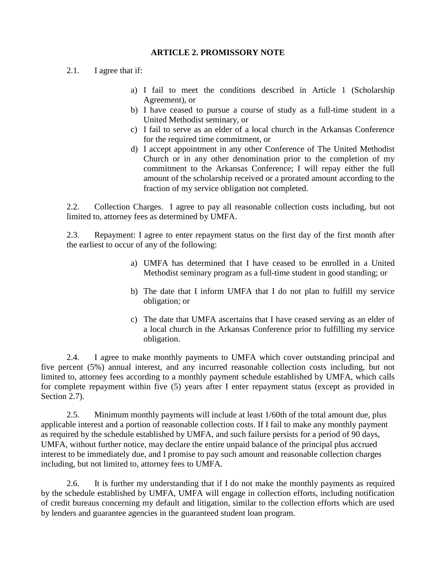#### **ARTICLE 2. PROMISSORY NOTE**

- 2.1. I agree that if:
	- a) I fail to meet the conditions described in Article 1 (Scholarship Agreement), or
	- b) I have ceased to pursue a course of study as a full-time student in a United Methodist seminary, or
	- c) I fail to serve as an elder of a local church in the Arkansas Conference for the required time commitment, or
	- d) I accept appointment in any other Conference of The United Methodist Church or in any other denomination prior to the completion of my commitment to the Arkansas Conference; I will repay either the full amount of the scholarship received or a prorated amount according to the fraction of my service obligation not completed.

2.2. Collection Charges. I agree to pay all reasonable collection costs including, but not limited to, attorney fees as determined by UMFA.

2.3. Repayment: I agree to enter repayment status on the first day of the first month after the earliest to occur of any of the following:

- a) UMFA has determined that I have ceased to be enrolled in a United Methodist seminary program as a full-time student in good standing; or
- b) The date that I inform UMFA that I do not plan to fulfill my service obligation; or
- c) The date that UMFA ascertains that I have ceased serving as an elder of a local church in the Arkansas Conference prior to fulfilling my service obligation.

2.4. I agree to make monthly payments to UMFA which cover outstanding principal and five percent (5%) annual interest, and any incurred reasonable collection costs including, but not limited to, attorney fees according to a monthly payment schedule established by UMFA, which calls for complete repayment within five (5) years after I enter repayment status (except as provided in Section 2.7).

2.5. Minimum monthly payments will include at least 1/60th of the total amount due, plus applicable interest and a portion of reasonable collection costs. If I fail to make any monthly payment as required by the schedule established by UMFA, and such failure persists for a period of 90 days, UMFA, without further notice, may declare the entire unpaid balance of the principal plus accrued interest to be immediately due, and I promise to pay such amount and reasonable collection charges including, but not limited to, attorney fees to UMFA.

2.6. It is further my understanding that if I do not make the monthly payments as required by the schedule established by UMFA, UMFA will engage in collection efforts, including notification of credit bureaus concerning my default and litigation, similar to the collection efforts which are used by lenders and guarantee agencies in the guaranteed student loan program.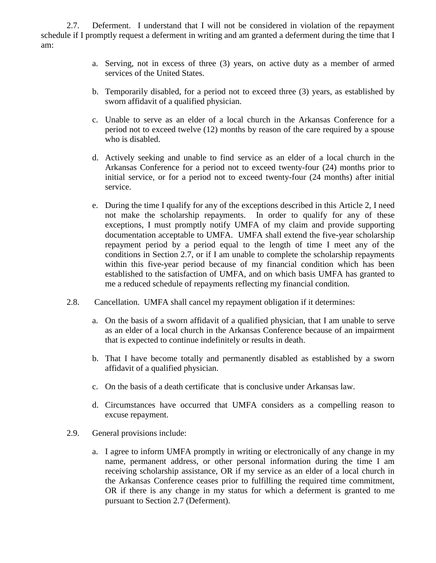2.7. Deferment. I understand that I will not be considered in violation of the repayment schedule if I promptly request a deferment in writing and am granted a deferment during the time that I am:

- a. Serving, not in excess of three (3) years, on active duty as a member of armed services of the United States.
- b. Temporarily disabled, for a period not to exceed three (3) years, as established by sworn affidavit of a qualified physician.
- c. Unable to serve as an elder of a local church in the Arkansas Conference for a period not to exceed twelve (12) months by reason of the care required by a spouse who is disabled.
- d. Actively seeking and unable to find service as an elder of a local church in the Arkansas Conference for a period not to exceed twenty-four (24) months prior to initial service, or for a period not to exceed twenty-four (24 months) after initial service.
- e. During the time I qualify for any of the exceptions described in this Article 2, I need not make the scholarship repayments. In order to qualify for any of these exceptions, I must promptly notify UMFA of my claim and provide supporting documentation acceptable to UMFA. UMFA shall extend the five-year scholarship repayment period by a period equal to the length of time I meet any of the conditions in Section 2.7, or if I am unable to complete the scholarship repayments within this five-year period because of my financial condition which has been established to the satisfaction of UMFA, and on which basis UMFA has granted to me a reduced schedule of repayments reflecting my financial condition.
- 2.8. Cancellation. UMFA shall cancel my repayment obligation if it determines:
	- a. On the basis of a sworn affidavit of a qualified physician, that I am unable to serve as an elder of a local church in the Arkansas Conference because of an impairment that is expected to continue indefinitely or results in death.
	- b. That I have become totally and permanently disabled as established by a sworn affidavit of a qualified physician.
	- c. On the basis of a death certificate that is conclusive under Arkansas law.
	- d. Circumstances have occurred that UMFA considers as a compelling reason to excuse repayment.
- 2.9. General provisions include:
	- a. I agree to inform UMFA promptly in writing or electronically of any change in my name, permanent address, or other personal information during the time I am receiving scholarship assistance, OR if my service as an elder of a local church in the Arkansas Conference ceases prior to fulfilling the required time commitment, OR if there is any change in my status for which a deferment is granted to me pursuant to Section 2.7 (Deferment).